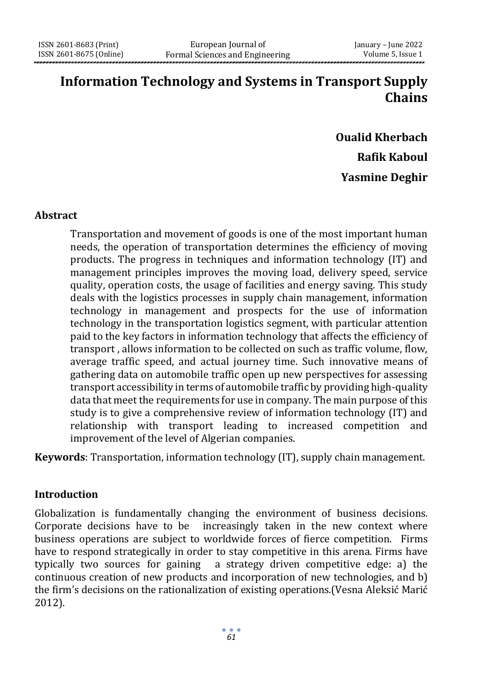## **Information Technology and Systems in Transport Supply Chains**

# **Oualid Kherbach Rafik Kaboul Yasmine Deghir**

#### **Abstract**

Transportation and movement of goods is one of the most important human needs, the operation of transportation determines the efficiency of moving products. The progress in techniques and information technology (IT) and management principles improves the moving load, delivery speed, service quality, operation costs, the usage of facilities and energy saving. This study deals with the logistics processes in supply chain management, information technology in management and prospects for the use of information technology in the transportation logistics segment, with particular attention paid to the key factors in information technology that affects the efficiency of transport , allows information to be collected on such as traffic volume, flow, average traffic speed, and actual journey time. Such innovative means of gathering data on automobile traffic open up new perspectives for assessing transport accessibility in terms of automobile traffic by providing high-quality data that meet the requirements for use in company. The main purpose of this study is to give a comprehensive review of information technology (IT) and relationship with transport leading to increased competition and improvement of the level of Algerian companies.

**Keywords**: Transportation, information technology (IT), supply chain management.

#### **Introduction**

Globalization is fundamentally changing the environment of business decisions. Corporate decisions have to be increasingly taken in the new context where business operations are subject to worldwide forces of fierce competition. Firms have to respond strategically in order to stay competitive in this arena. Firms have typically two sources for gaining a strategy driven competitive edge: a) the continuous creation of new products and incorporation of new technologies, and b) the firm's decisions on the rationalization of existing operations.(Vesna Aleksić Marić 2012).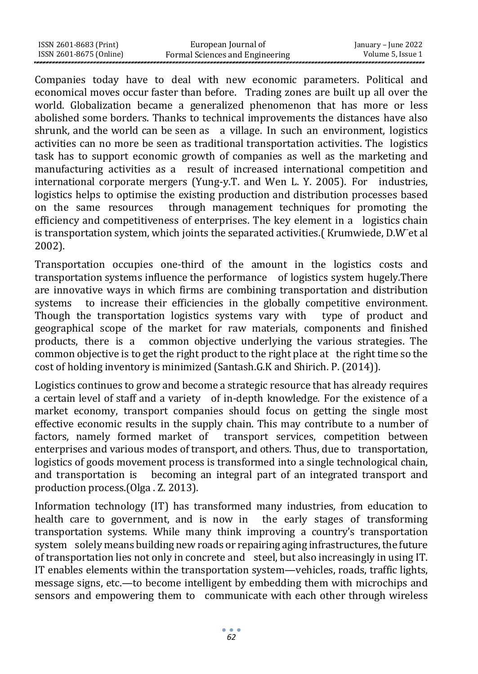| ISSN 2601-8683 (Print)  | European Journal of             | January – June 2022 |
|-------------------------|---------------------------------|---------------------|
| ISSN 2601-8675 (Online) | Formal Sciences and Engineering | Volume 5, Issue 1   |

Companies today have to deal with new economic parameters. Political and economical moves occur faster than before. Trading zones are built up all over the world. Globalization became a generalized phenomenon that has more or less abolished some borders. Thanks to technical improvements the distances have also shrunk, and the world can be seen as a village. In such an environment, logistics activities can no more be seen as traditional transportation activities. The logistics task has to support economic growth of companies as well as the marketing and manufacturing activities as a result of increased international competition and international corporate mergers (Yung-y.T. and Wen L. Y. 2005). For industries, logistics helps to optimise the existing production and distribution processes based on the same resources through management techniques for promoting the efficiency and competitiveness of enterprises. The key element in a logistics chain is transportation system, which joints the separated activities.( Krumwiede, D.W¨et al 2002).

Transportation occupies one-third of the amount in the logistics costs and transportation systems influence the performance of logistics system hugely.There are innovative ways in which firms are combining transportation and distribution systems to increase their efficiencies in the globally competitive environment. Though the transportation logistics systems vary with type of product and geographical scope of the market for raw materials, components and finished products, there is a common objective underlying the various strategies. The common objective is to get the right product to the right place at the right time so the cost of holding inventory is minimized (Santash.G.K and Shirich. P. (2014)).

Logistics continues to grow and become a strategic resource that has already requires a certain level of staff and a variety of in-depth knowledge. For the existence of a market economy, transport companies should focus on getting the single most effective economic results in the supply chain. This may contribute to a number of factors, namely formed market of transport services, competition between enterprises and various modes of transport, and others. Thus, due to transportation, logistics of goods movement process is transformed into a single technological chain, and transportation is becoming an integral part of an integrated transport and production process.(Olga . Z. 2013).

Information technology (IT) has transformed many industries, from education to health care to government, and is now in the early stages of transforming transportation systems. While many think improving a country's transportation system solely means building newroads or repairing aging infrastructures, the future of transportation lies not only in concrete and steel, but also increasingly in using IT. IT enables elements within the transportation system—vehicles, roads, traffic lights, message signs, etc.—to become intelligent by embedding them with microchips and sensors and empowering them to communicate with each other through wireless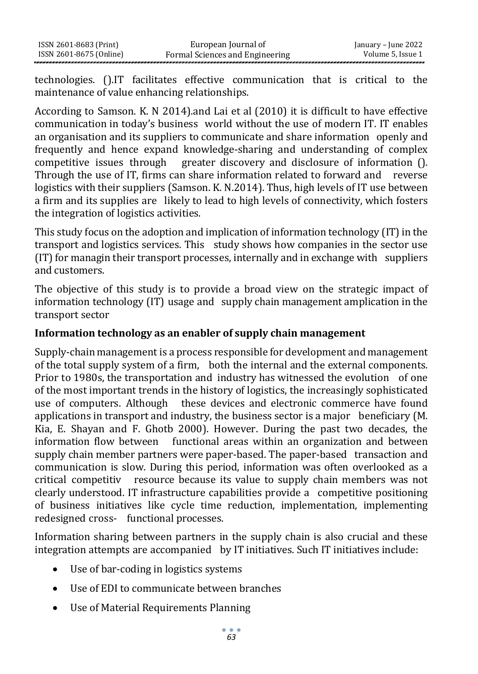technologies. ().IT facilitates effective communication that is critical to the maintenance of value enhancing relationships.

According to Samson. K. N 2014).and Lai et al (2010) it is difficult to have effective communication in today's business world without the use of modern IT. IT enables an organisation and its suppliers to communicate and share information openly and frequently and hence expand knowledge-sharing and understanding of complex competitive issues through greater discovery and disclosure of information (). Through the use of IT, firms can share information related to forward and reverse logistics with their suppliers (Samson. K. N.2014). Thus, high levels of IT use between a firm and its supplies are likely to lead to high levels of connectivity, which fosters the integration of logistics activities.

This study focus on the adoption and implication of information technology (IT) in the transport and logistics services. This study shows how companies in the sector use  $(T)$  for managin their transport processes, internally and in exchange with suppliers and customers.

The objective of this study is to provide a broad view on the strategic impact of information technology (IT) usage and supply chain management amplication in the transport sector

#### **Information technology as an enabler of supply chain management**

Supply-chain management is a process responsible for development and management of the total supply system of a firm, both the internal and the external components. Prior to 1980s, the transportation and industry has witnessed the evolution of one of the most important trends in the history of logistics, the increasingly sophisticated use of computers. Although these devices and electronic commerce have found applications in transport and industry, the business sector is a major beneficiary (M. Kia, E. Shayan and F. Ghotb 2000). However. During the past two decades, the information flow between functional areas within an organization and between supply chain member partners were paper-based. The paper-based transaction and communication is slow. During this period, information was often overlooked as a critical competitiv resource because its value to supply chain members was not clearly understood. IT infrastructure capabilities provide a competitive positioning of business initiatives like cycle time reduction, implementation, implementing redesigned cross- functional processes.

Information sharing between partners in the supply chain is also crucial and these integration attempts are accompanied by IT initiatives. Such IT initiatives include:

- Use of bar-coding in logistics systems
- Use of EDI to communicate between branches
- Use of Material Requirements Planning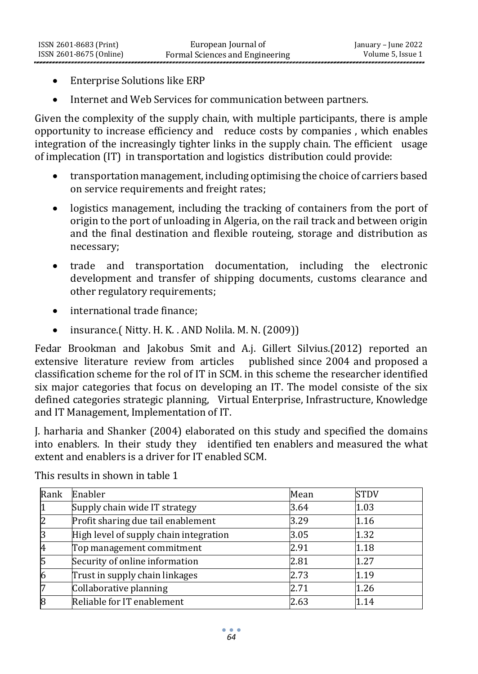- Enterprise Solutions like ERP
- Internet and Web Services for communication between partners.

Given the complexity of the supply chain, with multiple participants, there is ample opportunity to increase efficiency and reduce costs by companies , which enables integration of the increasingly tighter links in the supply chain. The efficient usage of implecation (IT) in transportation and logistics distribution could provide:

- transportation management, including optimising the choice of carriers based on service requirements and freight rates;
- logistics management, including the tracking of containers from the port of origin to the port of unloading in Algeria, on the rail track and between origin and the final destination and flexible routeing, storage and distribution as necessary;
- trade and transportation documentation, including the electronic development and transfer of shipping documents, customs clearance and other regulatory requirements;
- international trade finance;
- insurance.( Nitty. H. K. . AND Nolila. M. N. (2009))

Fedar Brookman and Jakobus Smit and A.j. Gillert Silvius.(2012) reported an extensive literature review from articles published since 2004 and proposed a classification scheme for the rol of IT in SCM. in this scheme the researcher identified six major categories that focus on developing an IT. The model consiste of the six defined categories strategic planning, Virtual Enterprise, Infrastructure, Knowledge and IT Management, Implementation of IT.

J. harharia and Shanker (2004) elaborated on this study and specified the domains into enablers. In their study they identified ten enablers and measured the what extent and enablers is a driver for IT enabled SCM.

| Rank | Enabler                                | Mean | <b>STDV</b> |
|------|----------------------------------------|------|-------------|
|      | Supply chain wide IT strategy          | 3.64 | 1.03        |
| 2    | Profit sharing due tail enablement     | 3.29 | 1.16        |
| 3    | High level of supply chain integration | 3.05 | 1.32        |
| 4    | Top management commitment              | 2.91 | 1.18        |
| 5    | Security of online information         | 2.81 | 1.27        |
| 6    | Trust in supply chain linkages         | 2.73 | 1.19        |
|      | Collaborative planning                 | 2.71 | 1.26        |
| 8    | Reliable for IT enablement             | 2.63 | 1.14        |

This results in shown in table 1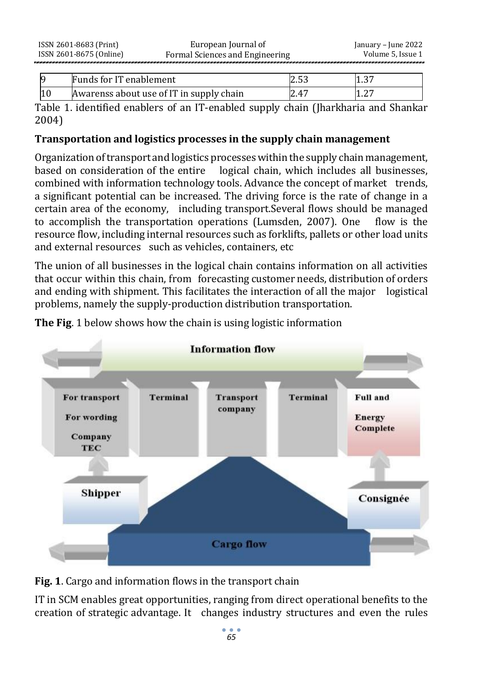| Funds for IT enablement                  | ں رہے۔ | ، 1.3 |
|------------------------------------------|--------|-------|
| Awarenss about use of IT in supply chain | 2.47   | 1.Z.  |

Table 1. identified enablers of an IT-enabled supply chain (Jharkharia and Shankar 2004)

## **Transportation and logistics processes in the supply chain management**

Organization oftransport and logistics processeswithin the supply chain management, based on consideration of the entire logical chain, which includes all businesses, combined with information technology tools. Advance the concept of market trends, a significant potential can be increased. The driving force is the rate of change in a certain area of the economy, including transport.Several flows should be managed to accomplish the transportation operations (Lumsden, 2007). One flow is the resource flow, including internal resources such as forklifts, pallets or other load units and external resources such as vehicles, containers, etc

The union of all businesses in the logical chain contains information on all activities that occur within this chain, from forecasting customer needs, distribution of orders and ending with shipment. This facilitates the interaction of all the major logistical problems, namely the supply-production distribution transportation.

**The Fig**. 1 below shows how the chain is using logistic information



**Fig. 1**. Cargo and information flows in the transport chain

IT in SCM enables great opportunities, ranging from direct operational benefits to the creation of strategic advantage. It changes industry structures and even the rules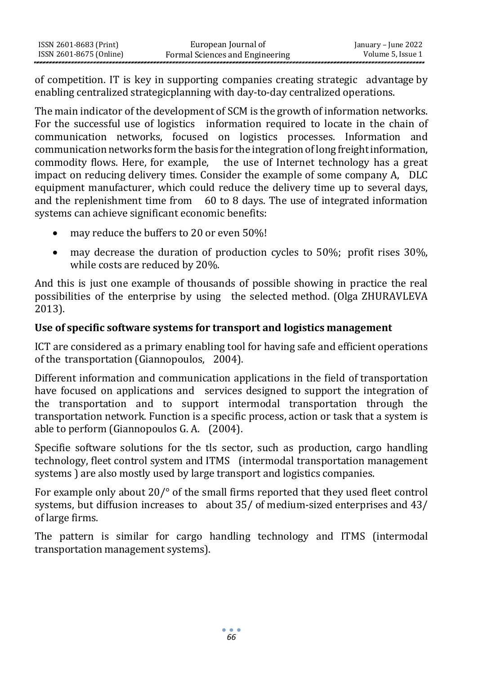| ISSN 2601-8683 (Print)  | European Journal of             | January – June 2022 |
|-------------------------|---------------------------------|---------------------|
| ISSN 2601-8675 (Online) | Formal Sciences and Engineering | Volume 5, Issue 1   |

of competition. IT is key in supporting companies creating strategic advantage by enabling centralized strategicplanning with day-to-day centralized operations.

The main indicator of the development of SCM is the growth of information networks. For the successful use of logistics information required to locate in the chain of communication networks, focused on logistics processes. Information and communication networks form the basis for the integration of long freightinformation, commodity flows. Here, for example, the use of Internet technology has a great impact on reducing delivery times. Consider the example of some company A, DLC equipment manufacturer, which could reduce the delivery time up to several days, and the replenishment time from  $60$  to 8 days. The use of integrated information systems can achieve significant economic benefits:

- may reduce the buffers to 20 or even 50%!
- may decrease the duration of production cycles to 50%; profit rises 30%. while costs are reduced by 20%.

And this is just one example of thousands of possible showing in practice the real possibilities of the enterprise by using the selected method. (Olga ZHURAVLEVA 2013).

#### **Use of specific software systems for transport and logistics management**

ICT are considered as a primary enabling tool for having safe and efficient operations of the transportation (Giannopoulos, 2004).

Different information and communication applications in the field of transportation have focused on applications and services designed to support the integration of the transportation and to support intermodal transportation through the transportation network. Function is a specific process, action or task that a system is able to perform (Giannopoulos G. A. (2004).

Specifie software solutions for the tls sector, such as production, cargo handling technology, fleet control system and ITMS (intermodal transportation management systems ) are also mostly used by large transport and logistics companies.

For example only about 20/° of the small firms reported that they used fleet control systems, but diffusion increases to about 35/ of medium-sized enterprises and 43/ of large firms.

The pattern is similar for cargo handling technology and ITMS (intermodal transportation management systems).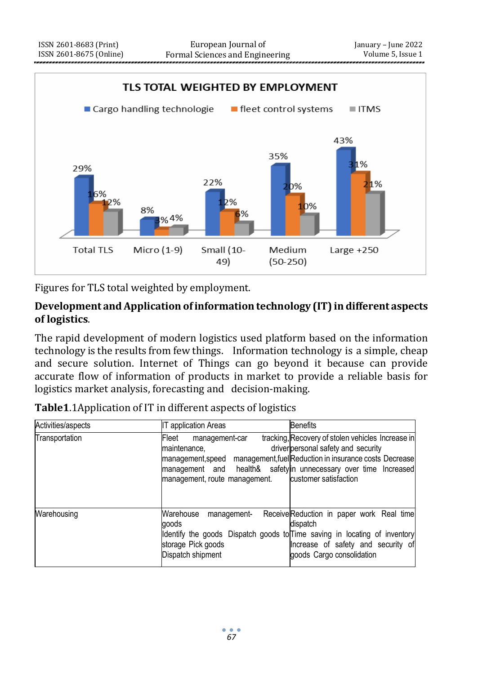

Figures for TLS total weighted by employment.

#### **Development and Application ofinformation technology (IT) in different aspects of logistics**.

The rapid development of modern logistics used platform based on the information technology is the results from few things. Information technology is a simple, cheap and secure solution. Internet of Things can go beyond it because can provide accurate flow of information of products in market to provide a reliable basis for logistics market analysis, forecasting and decision-making.

| Activities/aspects | <b>IT application Areas</b>                                                                                                                                      | <b>Benefits</b>                                                                                                                                                             |
|--------------------|------------------------------------------------------------------------------------------------------------------------------------------------------------------|-----------------------------------------------------------------------------------------------------------------------------------------------------------------------------|
| Transportation     | Fleet<br>management-car<br>maintenance,<br>management,speed<br>management and health& safety in unnecessary over time Increased<br>management, route management. | tracking, Recovery of stolen vehicles Increase in<br>driver personal safety and security<br>management, fuel Reduction in insurance costs Decrease<br>customer satisfaction |
| Warehousing        | Warehouse<br>management-<br>aoods<br>Identify the goods Dispatch goods to Time saving in locating of inventory<br>storage Pick goods<br>Dispatch shipment        | ReceiveReduction in paper work Real time<br>dispatch<br>Increase of safety and security of<br>goods Cargo consolidation                                                     |

**Table1**.1Application of IT in different aspects of logistics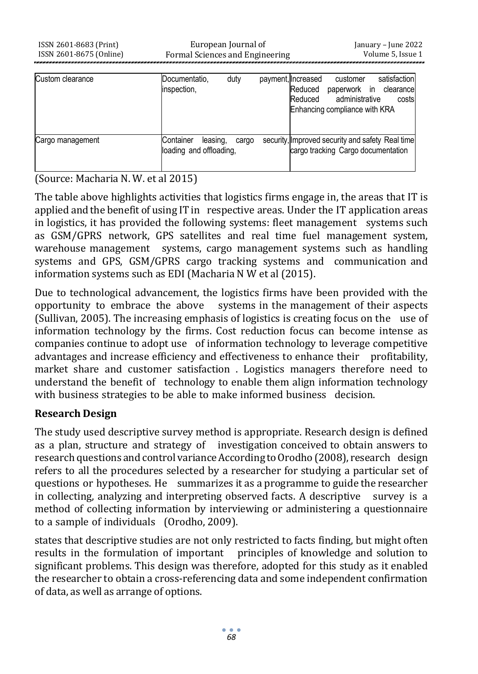| Custom clearance | Documentatio,<br>inspection,                     | duty  | payment, Increased<br>Reduced<br>Reduced | customer<br>paperwork in<br>administrative<br>Enhancing compliance with KRA | satisfaction<br>clearance<br>costs                                                     |
|------------------|--------------------------------------------------|-------|------------------------------------------|-----------------------------------------------------------------------------|----------------------------------------------------------------------------------------|
| Cargo management | Container<br>leasing,<br>loading and offloading, | cargo |                                          |                                                                             | security, Improved security and safety Real time<br>cargo tracking Cargo documentation |

#### (Source: Macharia N. W. et al 2015)

The table above highlights activities that logistics firms engage in, the areas that IT is applied and the benefit of using IT in respective areas. Under the IT application areas in logistics, it has provided the following systems: fleet management systems such as GSM/GPRS network, GPS satellites and real time fuel management system, warehouse management systems, cargo management systems such as handling systems and GPS, GSM/GPRS cargo tracking systems and communication and information systems such as EDI (Macharia N W et al (2015).

Due to technological advancement, the logistics firms have been provided with the opportunity to embrace the above systems in the management of their aspects (Sullivan, 2005). The increasing emphasis of logistics is creating focus on the use of information technology by the firms. Cost reduction focus can become intense as companies continue to adopt use of information technology to leverage competitive advantages and increase efficiency and effectiveness to enhance their profitability, market share and customer satisfaction . Logistics managers therefore need to understand the benefit of technology to enable them align information technology with business strategies to be able to make informed business decision.

#### **Research Design**

The study used descriptive survey method is appropriate. Research design is defined as a plan, structure and strategy of investigation conceived to obtain answers to research questions and control variance According to Orodho (2008), research design refers to all the procedures selected by a researcher for studying a particular set of questions or hypotheses. He summarizes it as a programme to guide the researcher in collecting, analyzing and interpreting observed facts. A descriptive survey is a method of collecting information by interviewing or administering a questionnaire to a sample of individuals (Orodho, 2009).

states that descriptive studies are not only restricted to facts finding, but might often results in the formulation of important principles of knowledge and solution to significant problems. This design was therefore, adopted for this study as it enabled the researcher to obtain a cross-referencing data and some independent confirmation of data, as well as arrange of options.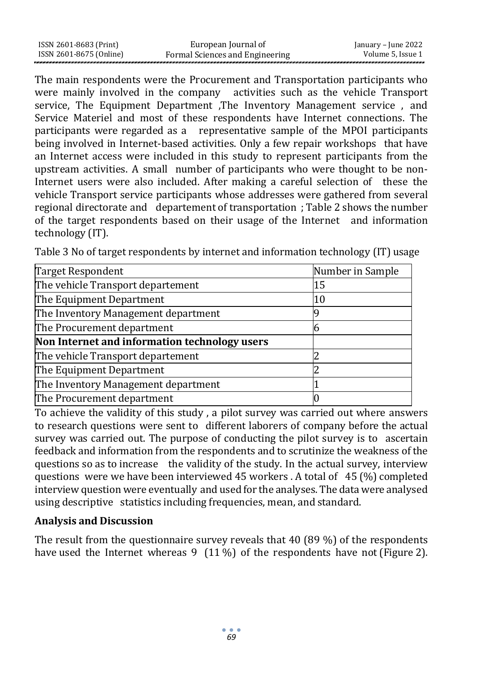The main respondents were the Procurement and Transportation participants who were mainly involved in the company activities such as the vehicle Transport service, The Equipment Department ,The Inventory Management service , and Service Materiel and most of these respondents have Internet connections. The participants were regarded as a representative sample of the MPOI participants being involved in Internet-based activities. Only a few repair workshops that have an Internet access were included in this study to represent participants from the upstream activities. A small number of participants who were thought to be non-Internet users were also included. After making a careful selection of these the vehicle Transport service participants whose addresses were gathered from several regional directorate and departement of transportation ; Table 2 shows the number of the target respondents based on their usage of the Internet and information technology (IT).

| <b>Target Respondent</b>                      | Number in Sample |
|-----------------------------------------------|------------------|
| The vehicle Transport departement             | 15               |
| The Equipment Department                      | 10               |
| The Inventory Management department           |                  |
| The Procurement department                    |                  |
| Non Internet and information technology users |                  |
| The vehicle Transport departement             |                  |
| The Equipment Department                      |                  |
| The Inventory Management department           |                  |
| The Procurement department                    |                  |

Table 3 No of target respondents by internet and information technology (IT) usage

To achieve the validity of this study , a pilot survey was carried out where answers to research questions were sent to different laborers of company before the actual survey was carried out. The purpose of conducting the pilot survey is to ascertain feedback and information from the respondents and to scrutinize the weakness of the questions so as to increase the validity of the study. In the actual survey, interview questions were we have been interviewed 45 workers . A total of 45 (%) completed interview question were eventually and used for the analyses. The data were analysed using descriptive statistics including frequencies, mean, and standard.

#### **Analysis and Discussion**

The result from the questionnaire survey reveals that 40 (89 %) of the respondents have used the Internet whereas 9 (11%) of the respondents have not (Figure 2).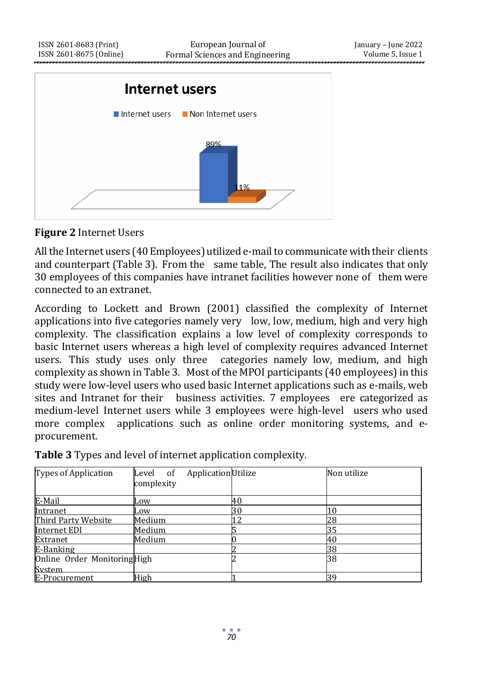

#### **Figure 2** Internet Users

All the Internet users (40 Employees) utilized e-mail to communicate with their clients and counterpart (Table 3). From the same table, The result also indicates that only 30 employees of this companies have intranet facilities however none of them were connected to an extranet.

According to Lockett and Brown (2001) classified the complexity of Internet applications into five categories namely very low, low, medium, high and very high complexity. The classification explains a low level of complexity corresponds to basic Internet users whereas a high level of complexity requires advanced Internet users. This study uses only three categories namely low, medium, and high complexity as shown in Table 3. Most of the MPOI participants (40 employees)in this study were low-level users who used basic Internet applications such as e-mails, web sites and Intranet for their business activities. 7 employees ere categorized as medium-level Internet users while 3 employees were high-level users who used more complex applications such as online order monitoring systems, and eprocurement.

| Types of Application        | Application Utilize<br>Level<br>- of<br>complexity |    | Non utilize |
|-----------------------------|----------------------------------------------------|----|-------------|
| E-Mail                      | Low                                                | 40 |             |
| Intranet                    | Low                                                | 30 |             |
| Third Party Website         | Medium                                             | 12 | 28          |
| Internet EDI                | Medium                                             |    | 35          |
| Extranet                    | Medium                                             |    | 40          |
| E-Banking                   |                                                    |    | 38          |
| Online Order MonitoringHigh |                                                    |    | 38          |
| System                      |                                                    |    |             |
| E-Procurement               | High                                               |    | 39          |

**Table 3** Types and level of internet application complexity.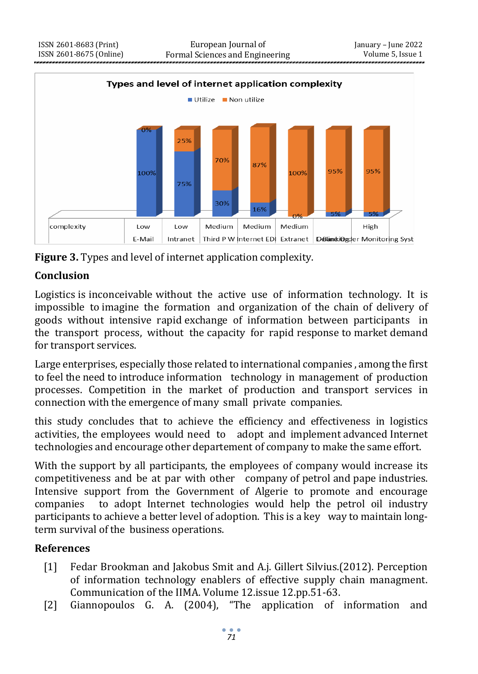

**Figure 3.** Types and level of internet application complexity.

### **Conclusion**

Logistics is inconceivable without the active use of information technology. It is impossible to imagine the formation and organization of the chain of delivery of goods without intensive rapid exchange of information between participants in the transport process, without the capacity for rapid response to market demand for transport services.

Large enterprises, especially those related to international companies , among the first to feel the need to introduce information technology in management of production processes. Competition in the market of production and transport services in connection with the emergence of many small private companies.

this study concludes that to achieve the efficiency and effectiveness in logistics activities, the employees would need to adopt and implement advanced Internet technologies and encourage other departement of company to make the same effort.

With the support by all participants, the employees of company would increase its competitiveness and be at par with other company of petrol and pape industries. Intensive support from the Government of Algerie to promote and encourage companies to adopt Internet technologies would help the petrol oil industry participants to achieve a better level of adoption. This is a key way to maintain longterm survival of the business operations.

#### **References**

- [1] Fedar Brookman and Jakobus Smit and A.j. Gillert Silvius.(2012). Perception of information technology enablers of effective supply chain managment. Communication of the IIMA. Volume 12.issue 12.pp.51-63.
- [2] Giannopoulos G. A. (2004), "The application of information and